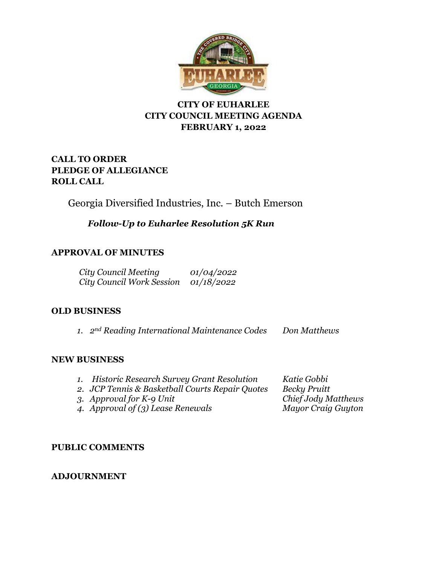

# **CITY OF EUHARLEE CITY COUNCIL MEETING AGENDA FEBRUARY 1, 2022**

# **CALL TO ORDER PLEDGE OF ALLEGIANCE ROLL CALL**

Georgia Diversified Industries, Inc. – Butch Emerson

*Follow-Up to Euharlee Resolution 5K Run*

# **APPROVAL OF MINUTES**

| City Council Meeting             | 01/04/2022        |
|----------------------------------|-------------------|
| <b>City Council Work Session</b> | <i>01/18/2022</i> |

## **OLD BUSINESS**

*1. 2nd Reading International Maintenance Codes Don Matthews*

## **NEW BUSINESS**

| 1. Historic Research Survey Grant Resolution<br>2. JCP Tennis & Basketball Courts Repair Quotes | Katie Gobbi<br><b>Becky Pruitt</b>               |
|-------------------------------------------------------------------------------------------------|--------------------------------------------------|
| 3. Approval for K-9 Unit<br>4. Approval of $(3)$ Lease Renewals                                 | Chief Jody Matthews<br><b>Mayor Craig Guyton</b> |

## **PUBLIC COMMENTS**

## **ADJOURNMENT**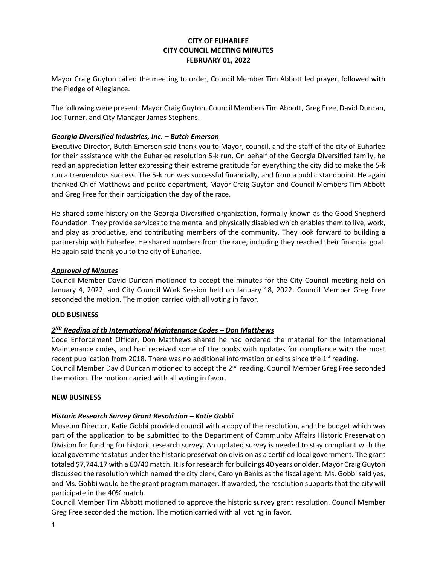### **CITY OF EUHARLEE CITY COUNCIL MEETING MINUTES FEBRUARY 01, 2022**

Mayor Craig Guyton called the meeting to order, Council Member Tim Abbott led prayer, followed with the Pledge of Allegiance.

The following were present: Mayor Craig Guyton, Council Members Tim Abbott, Greg Free, David Duncan, Joe Turner, and City Manager James Stephens.

#### *Georgia Diversified Industries, Inc. – Butch Emerson*

Executive Director, Butch Emerson said thank you to Mayor, council, and the staff of the city of Euharlee for their assistance with the Euharlee resolution 5-k run. On behalf of the Georgia Diversified family, he read an appreciation letter expressing their extreme gratitude for everything the city did to make the 5-k run a tremendous success. The 5-k run was successful financially, and from a public standpoint. He again thanked Chief Matthews and police department, Mayor Craig Guyton and Council Members Tim Abbott and Greg Free for their participation the day of the race.

He shared some history on the Georgia Diversified organization, formally known as the Good Shepherd Foundation. They provide services to the mental and physically disabled which enables them to live, work, and play as productive, and contributing members of the community. They look forward to building a partnership with Euharlee. He shared numbers from the race, including they reached their financial goal. He again said thank you to the city of Euharlee.

#### *Approval of Minutes*

Council Member David Duncan motioned to accept the minutes for the City Council meeting held on January 4, 2022, and City Council Work Session held on January 18, 2022. Council Member Greg Free seconded the motion. The motion carried with all voting in favor.

#### **OLD BUSINESS**

#### *2 ND Reading of tb International Maintenance Codes – Don Matthews*

Code Enforcement Officer, Don Matthews shared he had ordered the material for the International Maintenance codes, and had received some of the books with updates for compliance with the most recent publication from 2018. There was no additional information or edits since the  $1<sup>st</sup>$  reading. Council Member David Duncan motioned to accept the  $2^{nd}$  reading. Council Member Greg Free seconded the motion. The motion carried with all voting in favor.

#### **NEW BUSINESS**

#### *Historic Research Survey Grant Resolution – Katie Gobbi*

Museum Director, Katie Gobbi provided council with a copy of the resolution, and the budget which was part of the application to be submitted to the Department of Community Affairs Historic Preservation Division for funding for historic research survey. An updated survey is needed to stay compliant with the local government status under the historic preservation division as a certified local government. The grant totaled \$7,744.17 with a 60/40 match. It isfor research for buildings 40 years or older. Mayor Craig Guyton discussed the resolution which named the city clerk, Carolyn Banks as the fiscal agent. Ms. Gobbi said yes, and Ms. Gobbi would be the grant program manager. If awarded, the resolution supports that the city will participate in the 40% match.

Council Member Tim Abbott motioned to approve the historic survey grant resolution. Council Member Greg Free seconded the motion. The motion carried with all voting in favor.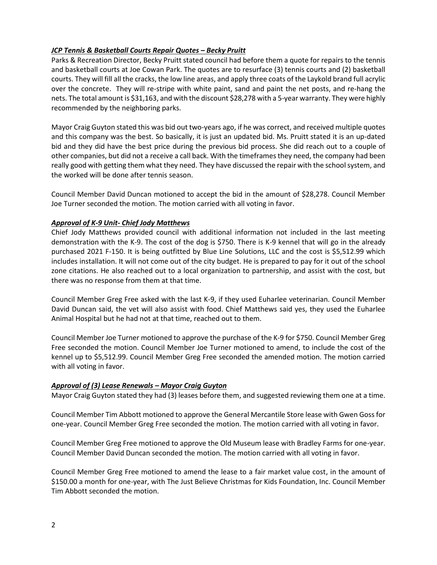### *JCP Tennis & Basketball Courts Repair Quotes – Becky Pruitt*

Parks & Recreation Director, Becky Pruitt stated council had before them a quote for repairs to the tennis and basketball courts at Joe Cowan Park. The quotes are to resurface (3) tennis courts and (2) basketball courts. They will fill all the cracks, the low line areas, and apply three coats of the Laykold brand full acrylic over the concrete. They will re-stripe with white paint, sand and paint the net posts, and re-hang the nets. The total amount is \$31,163, and with the discount \$28,278 with a 5-year warranty. They were highly recommended by the neighboring parks.

Mayor Craig Guyton stated this was bid out two-years ago, if he was correct, and received multiple quotes and this company was the best. So basically, it is just an updated bid. Ms. Pruitt stated it is an up-dated bid and they did have the best price during the previous bid process. She did reach out to a couple of other companies, but did not a receive a call back. With the timeframesthey need, the company had been really good with getting them what they need. They have discussed the repair with the school system, and the worked will be done after tennis season.

Council Member David Duncan motioned to accept the bid in the amount of \$28,278. Council Member Joe Turner seconded the motion. The motion carried with all voting in favor.

### *Approval of K-9 Unit- Chief Jody Matthews*

Chief Jody Matthews provided council with additional information not included in the last meeting demonstration with the K-9. The cost of the dog is \$750. There is K-9 kennel that will go in the already purchased 2021 F-150. It is being outfitted by Blue Line Solutions, LLC and the cost is \$5,512.99 which includes installation. It will not come out of the city budget. He is prepared to pay for it out of the school zone citations. He also reached out to a local organization to partnership, and assist with the cost, but there was no response from them at that time.

Council Member Greg Free asked with the last K-9, if they used Euharlee veterinarian. Council Member David Duncan said, the vet will also assist with food. Chief Matthews said yes, they used the Euharlee Animal Hospital but he had not at that time, reached out to them.

Council Member Joe Turner motioned to approve the purchase of the K-9 for \$750. Council Member Greg Free seconded the motion. Council Member Joe Turner motioned to amend, to include the cost of the kennel up to \$5,512.99. Council Member Greg Free seconded the amended motion. The motion carried with all voting in favor.

#### *Approval of (3) Lease Renewals – Mayor Craig Guyton*

Mayor Craig Guyton stated they had (3) leases before them, and suggested reviewing them one at a time.

Council Member Tim Abbott motioned to approve the General Mercantile Store lease with Gwen Goss for one-year. Council Member Greg Free seconded the motion. The motion carried with all voting in favor.

Council Member Greg Free motioned to approve the Old Museum lease with Bradley Farms for one-year. Council Member David Duncan seconded the motion. The motion carried with all voting in favor.

Council Member Greg Free motioned to amend the lease to a fair market value cost, in the amount of \$150.00 a month for one-year, with The Just Believe Christmas for Kids Foundation, Inc. Council Member Tim Abbott seconded the motion.